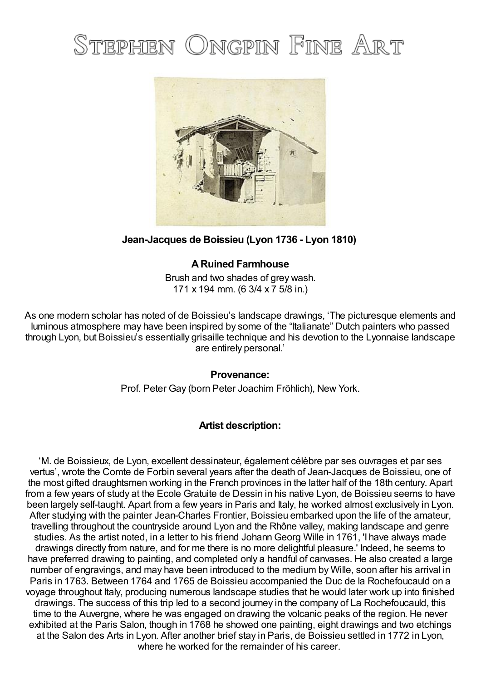# STEPHEN ONGPIN FINE ART



### **Jean-Jacques de Boissieu (Lyon 1736 - Lyon 1810)**

## **ARuined Farmhouse**

Brush and two shades of grey wash. 171 x 194 mm. (6 3/4 x 7 5/8 in.)

As one modern scholar has noted of de Boissieu's landscape drawings, 'The picturesque elements and luminous atmosphere may have been inspired by some of the "Italianate" Dutch painters who passed through Lyon, but Boissieu's essentially grisaille technique and his devotion to the Lyonnaise landscape are entirely personal.'

#### **Provenance:**

Prof. Peter Gay (born Peter Joachim Fröhlich), New York.

#### **Artist description:**

'M. de Boissieux, de Lyon, excellent dessinateur, également célèbre par ses ouvrages et par ses vertus', wrote the Comte de Forbin several years after the death of Jean-Jacques de Boissieu, one of the most gifted draughtsmen working in the French provinces in the latter half of the 18th century. Apart from a few years of study at the Ecole Gratuite de Dessin in his native Lyon, de Boissieu seems to have been largely self-taught. Apart from a few years in Paris and Italy, he worked almost exclusively in Lyon. After studying with the painter Jean-Charles Frontier, Boissieu embarked upon the life of the amateur, travelling throughout the countryside around Lyon and the Rhône valley, making landscape and genre studies. As the artist noted, in a letter to his friend Johann Georg Wille in 1761, 'I have always made drawings directly from nature, and for me there is no more delightful pleasure.' Indeed, he seems to have preferred drawing to painting, and completed only a handful of canvases. He also created a large number of engravings, and may have been introduced to the medium by Wille, soon after his arrival in Paris in 1763. Between 1764 and 1765 de Boissieu accompanied the Duc de la Rochefoucauld on a voyage throughout Italy, producing numerous landscape studies that he would later work up into finished drawings. The success of this trip led to a second journey in the company of La Rochefoucauld, this time to the Auvergne, where he was engaged on drawing the volcanic peaks of the region. He never exhibited at the Paris Salon, though in 1768 he showed one painting, eight drawings and two etchings at the Salon des Arts in Lyon. After another brief stay in Paris, de Boissieu settled in 1772 in Lyon, where he worked for the remainder of his career.